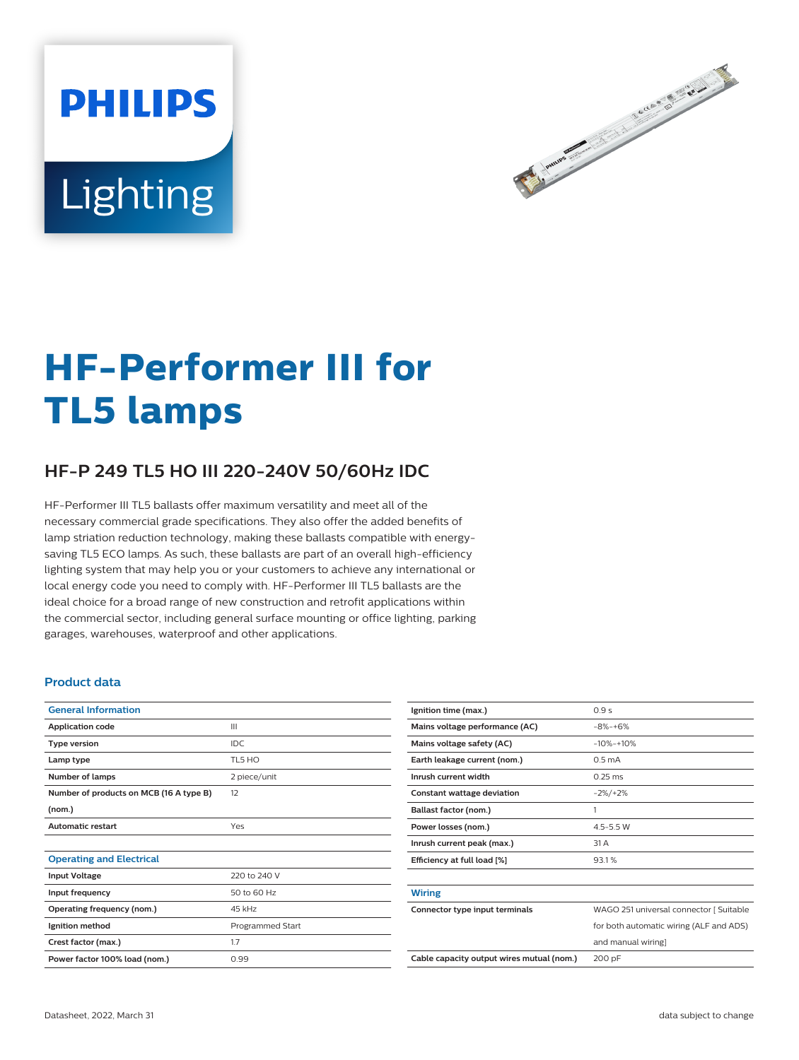# **PHILIPS** Lighting



# **HF-Performer III for TL5 lamps**

# **HF-P 249 TL5 HO III 220-240V 50/60Hz IDC**

HF-Performer III TL5 ballasts offer maximum versatility and meet all of the necessary commercial grade specifications. They also offer the added benefits of lamp striation reduction technology, making these ballasts compatible with energysaving TL5 ECO lamps. As such, these ballasts are part of an overall high-efficiency lighting system that may help you or your customers to achieve any international or local energy code you need to comply with. HF-Performer III TL5 ballasts are the ideal choice for a broad range of new construction and retrofit applications within the commercial sector, including general surface mounting or office lighting, parking garages, warehouses, waterproof and other applications.

#### **Product data**

| <b>General Information</b>              |                  |  |  |  |
|-----------------------------------------|------------------|--|--|--|
| <b>Application code</b>                 | Ш                |  |  |  |
| <b>Type version</b>                     | <b>IDC</b>       |  |  |  |
| Lamp type                               | TL5 HO           |  |  |  |
| Number of lamps                         | 2 piece/unit     |  |  |  |
| Number of products on MCB (16 A type B) | 12               |  |  |  |
| (nom.)                                  |                  |  |  |  |
| <b>Automatic restart</b>                | Yes              |  |  |  |
|                                         |                  |  |  |  |
| <b>Operating and Electrical</b>         |                  |  |  |  |
| <b>Input Voltage</b>                    | 220 to 240 V     |  |  |  |
| Input frequency                         | 50 to 60 Hz      |  |  |  |
| Operating frequency (nom.)              | 45 kHz           |  |  |  |
| Ignition method                         | Programmed Start |  |  |  |
| Crest factor (max.)                     | 1.7              |  |  |  |
| Power factor 100% load (nom.)           | 0.99             |  |  |  |

| Ignition time (max.)                      | 0.9s                                    |  |  |
|-------------------------------------------|-----------------------------------------|--|--|
| Mains voltage performance (AC)            | $-8% -+6%$                              |  |  |
| Mains voltage safety (AC)                 | $-10% - +10%$                           |  |  |
| Earth leakage current (nom.)              | 0.5 <sub>m</sub> A                      |  |  |
| Inrush current width                      | $0.25$ ms                               |  |  |
| Constant wattage deviation                | $-2\%/+2\%$                             |  |  |
| Ballast factor (nom.)                     | 1                                       |  |  |
| Power losses (nom.)                       | $4.5 - 5.5$ W                           |  |  |
| Inrush current peak (max.)                | 31 A                                    |  |  |
| Efficiency at full load [%]               | 93.1%                                   |  |  |
|                                           |                                         |  |  |
| <b>Wiring</b>                             |                                         |  |  |
| Connector type input terminals            | WAGO 251 universal connector [ Suitable |  |  |
|                                           | for both automatic wiring (ALF and ADS) |  |  |
|                                           | and manual wiring]                      |  |  |
| Cable capacity output wires mutual (nom.) | 200 pF                                  |  |  |
|                                           |                                         |  |  |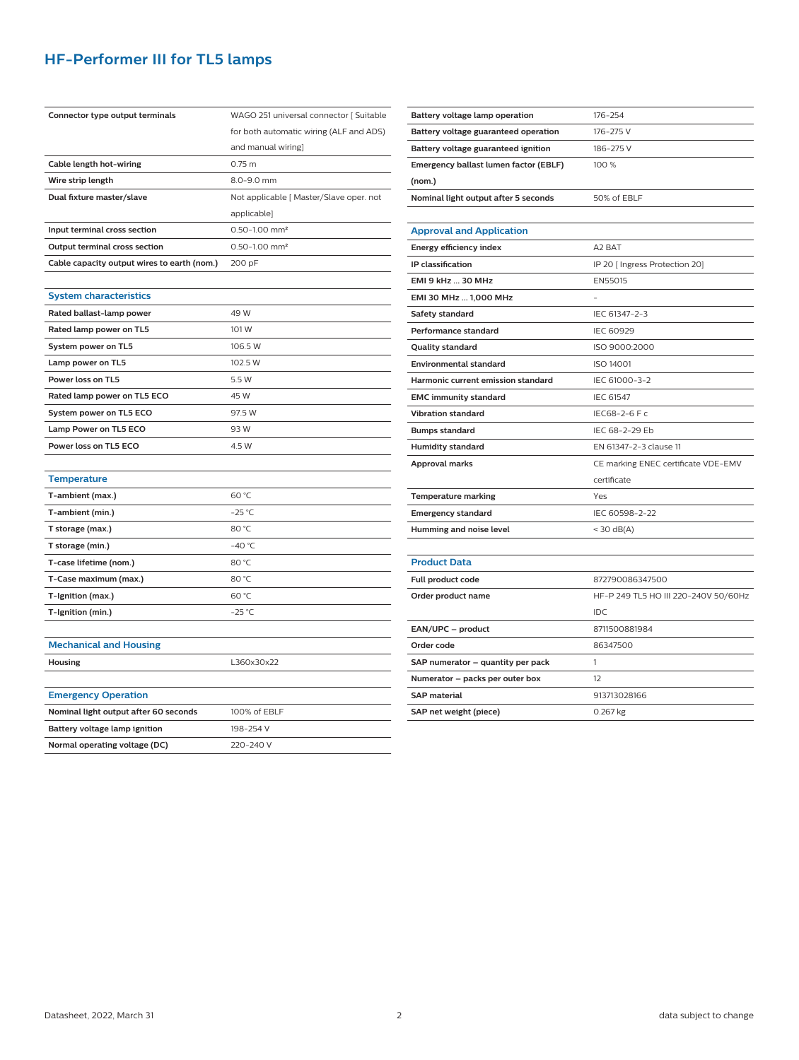## **HF-Performer III for TL5 lamps**

| Connector type output terminals             | WAGO 251 universal connector [ Suitable |  |  |  |
|---------------------------------------------|-----------------------------------------|--|--|--|
|                                             | for both automatic wiring (ALF and ADS) |  |  |  |
|                                             | and manual wiring]                      |  |  |  |
| Cable length hot-wiring                     | $0.75$ m                                |  |  |  |
| Wire strip length                           | 8.0-9.0 mm                              |  |  |  |
| Dual fixture master/slave                   | Not applicable [ Master/Slave oper. not |  |  |  |
|                                             | applicable]                             |  |  |  |
| Input terminal cross section                | $0.50 - 1.00$ mm <sup>2</sup>           |  |  |  |
| Output terminal cross section               | $0.50 - 1.00$ mm <sup>2</sup>           |  |  |  |
| Cable capacity output wires to earth (nom.) | 200 pF                                  |  |  |  |
|                                             |                                         |  |  |  |
| <b>System characteristics</b>               |                                         |  |  |  |
| Rated ballast-lamp power                    | 49 W                                    |  |  |  |
| Rated lamp power on TL5                     | 101 W                                   |  |  |  |
| System power on TL5                         | 106.5 W                                 |  |  |  |
| Lamp power on TL5                           | 102.5 W                                 |  |  |  |
| Power loss on TL5                           | 5.5 W                                   |  |  |  |
| Rated lamp power on TL5 ECO                 | 45 W                                    |  |  |  |
| System power on TL5 ECO                     | 97.5 W                                  |  |  |  |
| Lamp Power on TL5 ECO                       | 93W                                     |  |  |  |
| Power loss on TL5 ECO                       | 4.5 W                                   |  |  |  |
|                                             |                                         |  |  |  |
| <b>Temperature</b>                          |                                         |  |  |  |
| T-ambient (max.)                            | 60 °C                                   |  |  |  |
| T-ambient (min.)                            | $-25$ °C                                |  |  |  |
| T storage (max.)                            | 80 °C                                   |  |  |  |
| T storage (min.)                            | $-40 °C$                                |  |  |  |
| T-case lifetime (nom.)                      | 80 °C                                   |  |  |  |
| T-Case maximum (max.)                       | 80 °C                                   |  |  |  |
| T-Ignition (max.)                           | 60 °C                                   |  |  |  |
| T-Ignition (min.)                           | $-25$ °C                                |  |  |  |
|                                             |                                         |  |  |  |
| <b>Mechanical and Housing</b>               |                                         |  |  |  |
| <b>Housing</b>                              | L360x30x22                              |  |  |  |
|                                             |                                         |  |  |  |
| <b>Emergency Operation</b>                  |                                         |  |  |  |
| Nominal light output after 60 seconds       | 100% of EBLF                            |  |  |  |
| Battery voltage lamp ignition               | 198-254 V                               |  |  |  |
| Normal operating voltage (DC)               | 220-240 V                               |  |  |  |

| Battery voltage lamp operation        | 176-254                              |  |  |  |
|---------------------------------------|--------------------------------------|--|--|--|
| Battery voltage guaranteed operation  | 176-275 V                            |  |  |  |
| Battery voltage guaranteed ignition   | 186-275V                             |  |  |  |
| Emergency ballast lumen factor (EBLF) | 100 %                                |  |  |  |
| (nom.)                                |                                      |  |  |  |
| Nominal light output after 5 seconds  | 50% of EBLF                          |  |  |  |
|                                       |                                      |  |  |  |
| <b>Approval and Application</b>       |                                      |  |  |  |
| Energy efficiency index               | A <sub>2</sub> BAT                   |  |  |  |
| <b>IP</b> classification              | IP 20 [ Ingress Protection 20]       |  |  |  |
| EMI 9 kHz  30 MHz                     | EN55015                              |  |  |  |
| EMI 30 MHz  1,000 MHz                 |                                      |  |  |  |
| Safety standard                       | IEC 61347-2-3                        |  |  |  |
| <b>Performance standard</b>           | <b>IEC 60929</b>                     |  |  |  |
| <b>Quality standard</b>               | ISO 9000:2000                        |  |  |  |
| <b>Environmental standard</b>         | <b>ISO 14001</b>                     |  |  |  |
| Harmonic current emission standard    | IEC 61000-3-2                        |  |  |  |
| <b>EMC immunity standard</b>          | <b>IEC 61547</b>                     |  |  |  |
| <b>Vibration standard</b>             | IEC68-2-6 F c                        |  |  |  |
| <b>Bumps standard</b>                 | IEC 68-2-29 Eb                       |  |  |  |
| <b>Humidity standard</b>              | EN 61347-2-3 clause 11               |  |  |  |
| <b>Approval marks</b>                 | CE marking ENEC certificate VDE-EMV  |  |  |  |
|                                       | certificate                          |  |  |  |
| <b>Temperature marking</b>            | Yes                                  |  |  |  |
| <b>Emergency standard</b>             | IEC 60598-2-22                       |  |  |  |
| Humming and noise level               | $<$ 30 dB(A)                         |  |  |  |
|                                       |                                      |  |  |  |
| <b>Product Data</b>                   |                                      |  |  |  |
| Full product code                     | 872790086347500                      |  |  |  |
| Order product name                    | HF-P 249 TL5 HO III 220-240V 50/60Hz |  |  |  |
|                                       | IDC                                  |  |  |  |
| EAN/UPC - product                     | 8711500881984                        |  |  |  |
| Order code                            | 86347500                             |  |  |  |
| SAP numerator - quantity per pack     | 1                                    |  |  |  |
| Numerator - packs per outer box       | 12                                   |  |  |  |
| <b>SAP</b> material                   | 913713028166                         |  |  |  |
| SAP net weight (piece)                | 0.267 kg                             |  |  |  |